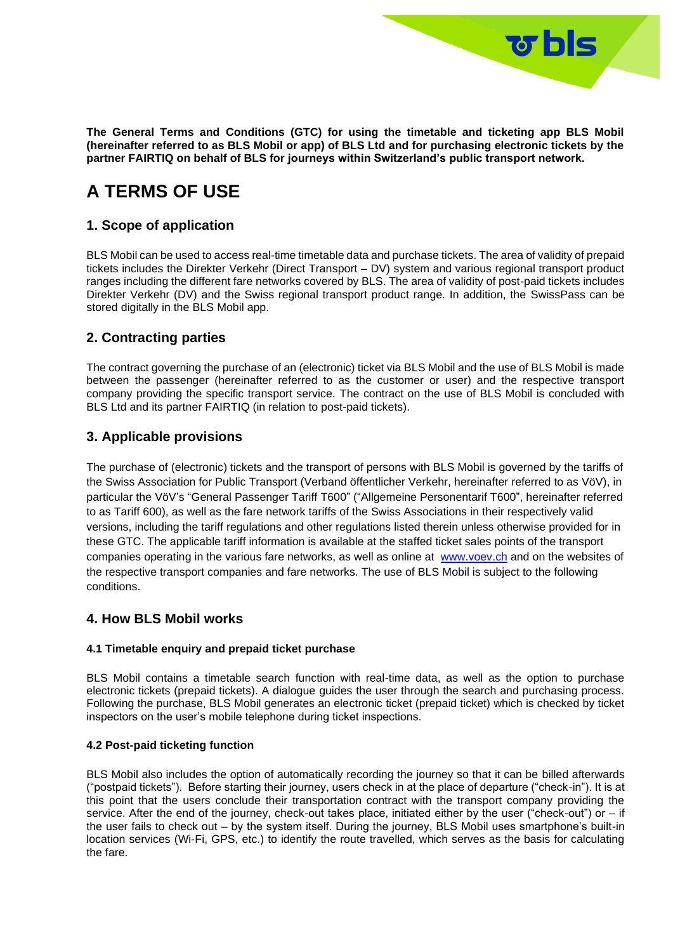**The General Terms and Conditions (GTC) for using the timetable and ticketing app BLS Mobil (hereinafter referred to as BLS Mobil or app) of BLS Ltd and for purchasing electronic tickets by the partner FAIRTIQ on behalf of BLS for journeys within Switzerland's public transport network.**

<u>জ bls</u>

# **A TERMS OF USE**

# **1. Scope of application**

BLS Mobil can be used to access real-time timetable data and purchase tickets. The area of validity of prepaid tickets includes the Direkter Verkehr (Direct Transport – DV) system and various regional transport product ranges including the different fare networks covered by BLS. The area of validity of post-paid tickets includes Direkter Verkehr (DV) and the Swiss regional transport product range. In addition, the SwissPass can be stored digitally in the BLS Mobil app.

# **2. Contracting parties**

The contract governing the purchase of an (electronic) ticket via BLS Mobil and the use of BLS Mobil is made between the passenger (hereinafter referred to as the customer or user) and the respective transport company providing the specific transport service. The contract on the use of BLS Mobil is concluded with BLS Ltd and its partner FAIRTIQ (in relation to post-paid tickets).

# **3. Applicable provisions**

The purchase of (electronic) tickets and the transport of persons with BLS Mobil is governed by the tariffs of the Swiss Association for Public Transport (Verband öffentlicher Verkehr, hereinafter referred to as VöV), in particular the VöV's "General Passenger Tariff T600" ("Allgemeine Personentarif T600", hereinafter referred to as Tariff 600), as well as the fare network tariffs of the Swiss Associations in their respectively valid versions, including the tariff regulations and other regulations listed therein unless otherwise provided for in these GTC. The applicable tariff information is available at the staffed ticket sales points of the transport companies operating in the various fare networks, as well as online at [www.voev.ch](https://www.voev.ch/de/Service/Tarife-DV/Aktuelle-DV-Tarife) and on the websites of the respective transport companies and fare networks. The use of BLS Mobil is subject to the following conditions.

### **4. How BLS Mobil works**

### **4.1 Timetable enquiry and prepaid ticket purchase**

BLS Mobil contains a timetable search function with real-time data, as well as the option to purchase electronic tickets (prepaid tickets). A dialogue guides the user through the search and purchasing process. Following the purchase, BLS Mobil generates an electronic ticket (prepaid ticket) which is checked by ticket inspectors on the user's mobile telephone during ticket inspections.

### **4.2 Post-paid ticketing function**

BLS Mobil also includes the option of automatically recording the journey so that it can be billed afterwards ("postpaid tickets"). Before starting their journey, users check in at the place of departure ("check-in"). It is at this point that the users conclude their transportation contract with the transport company providing the service. After the end of the journey, check-out takes place, initiated either by the user ("check-out") or – if the user fails to check out – by the system itself. During the journey, BLS Mobil uses smartphone's built-in location services (Wi-Fi, GPS, etc.) to identify the route travelled, which serves as the basis for calculating the fare.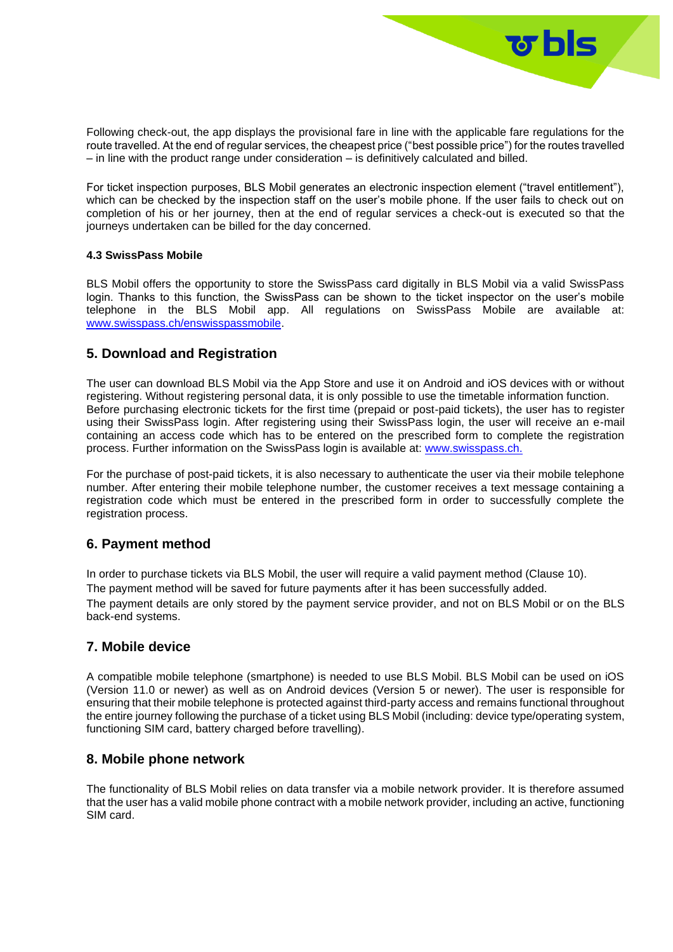

Following check-out, the app displays the provisional fare in line with the applicable fare regulations for the route travelled. At the end of regular services, the cheapest price ("best possible price") for the routes travelled – in line with the product range under consideration – is definitively calculated and billed.

For ticket inspection purposes, BLS Mobil generates an electronic inspection element ("travel entitlement"), which can be checked by the inspection staff on the user's mobile phone. If the user fails to check out on completion of his or her journey, then at the end of regular services a check-out is executed so that the journeys undertaken can be billed for the day concerned.

### **4.3 SwissPass Mobile**

BLS Mobil offers the opportunity to store the SwissPass card digitally in BLS Mobil via a valid SwissPass login. Thanks to this function, the SwissPass can be shown to the ticket inspector on the user's mobile telephone in the BLS Mobil app. All regulations on SwissPass Mobile are available at: [www.swisspass.ch/enswisspassmobile.](https://www.swisspass.ch/enswisspassmobile.xhtml)

### **5. Download and Registration**

The user can download BLS Mobil via the App Store and use it on Android and iOS devices with or without registering. Without registering personal data, it is only possible to use the timetable information function. Before purchasing electronic tickets for the first time (prepaid or post-paid tickets), the user has to register using their SwissPass login. After registering using their SwissPass login, the user will receive an e-mail containing an access code which has to be entered on the prescribed form to complete the registration process. Further information on the SwissPass login is available at: [www.swisspass.ch.](https://www.swisspass.ch/oevlogin/login)

For the purchase of post-paid tickets, it is also necessary to authenticate the user via their mobile telephone number. After entering their mobile telephone number, the customer receives a text message containing a registration code which must be entered in the prescribed form in order to successfully complete the registration process.

### **6. Payment method**

In order to purchase tickets via BLS Mobil, the user will require a valid payment method (Clause 10).

The payment method will be saved for future payments after it has been successfully added.

The payment details are only stored by the payment service provider, and not on BLS Mobil or on the BLS back-end systems.

### **7. Mobile device**

A compatible mobile telephone (smartphone) is needed to use BLS Mobil. BLS Mobil can be used on iOS (Version 11.0 or newer) as well as on Android devices (Version 5 or newer). The user is responsible for ensuring that their mobile telephone is protected against third-party access and remains functional throughout the entire journey following the purchase of a ticket using BLS Mobil (including: device type/operating system, functioning SIM card, battery charged before travelling).

### **8. Mobile phone network**

The functionality of BLS Mobil relies on data transfer via a mobile network provider. It is therefore assumed that the user has a valid mobile phone contract with a mobile network provider, including an active, functioning SIM card.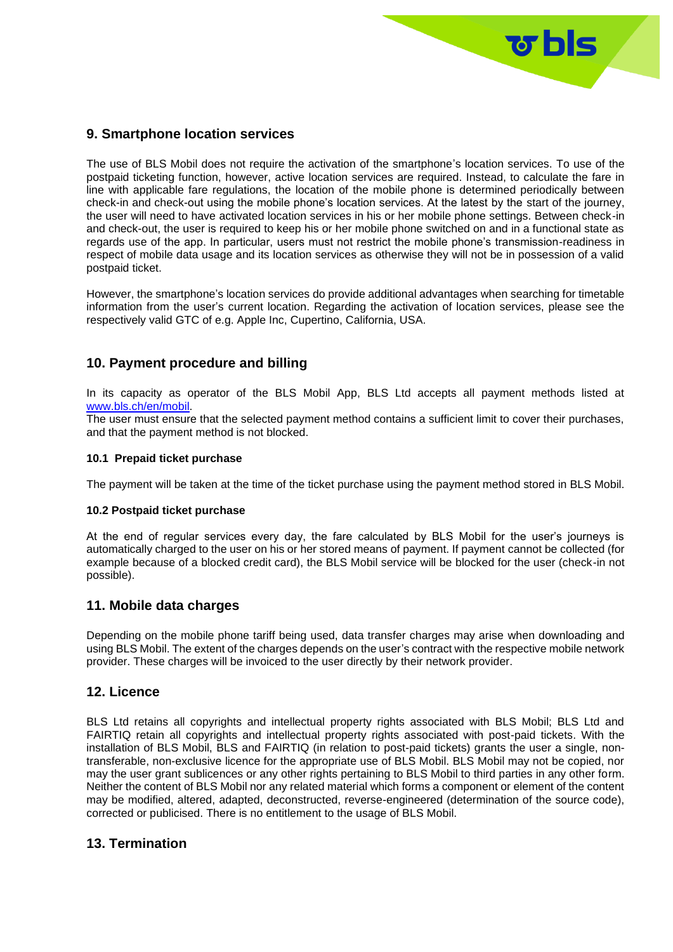

# **9. Smartphone location services**

The use of BLS Mobil does not require the activation of the smartphone's location services. To use of the postpaid ticketing function, however, active location services are required. Instead, to calculate the fare in line with applicable fare regulations, the location of the mobile phone is determined periodically between check-in and check-out using the mobile phone's location services. At the latest by the start of the journey, the user will need to have activated location services in his or her mobile phone settings. Between check-in and check-out, the user is required to keep his or her mobile phone switched on and in a functional state as regards use of the app. In particular, users must not restrict the mobile phone's transmission-readiness in respect of mobile data usage and its location services as otherwise they will not be in possession of a valid postpaid ticket.

However, the smartphone's location services do provide additional advantages when searching for timetable information from the user's current location. Regarding the activation of location services, please see the respectively valid GTC of e.g. Apple Inc, Cupertino, California, USA.

# **10. Payment procedure and billing**

In its capacity as operator of the BLS Mobil App, BLS Ltd accepts all payment methods listed at [www.bls.ch/en/mobil.](https://www.bls.ch/en/fahren/fahrausweise/verkauf/online-mobile/bls-mobil)

The user must ensure that the selected payment method contains a sufficient limit to cover their purchases, and that the payment method is not blocked.

### **10.1 Prepaid ticket purchase**

The payment will be taken at the time of the ticket purchase using the payment method stored in BLS Mobil.

#### **10.2 Postpaid ticket purchase**

At the end of regular services every day, the fare calculated by BLS Mobil for the user's journeys is automatically charged to the user on his or her stored means of payment. If payment cannot be collected (for example because of a blocked credit card), the BLS Mobil service will be blocked for the user (check-in not possible).

### **11. Mobile data charges**

Depending on the mobile phone tariff being used, data transfer charges may arise when downloading and using BLS Mobil. The extent of the charges depends on the user's contract with the respective mobile network provider. These charges will be invoiced to the user directly by their network provider.

### **12. Licence**

BLS Ltd retains all copyrights and intellectual property rights associated with BLS Mobil; BLS Ltd and FAIRTIQ retain all copyrights and intellectual property rights associated with post-paid tickets. With the installation of BLS Mobil, BLS and FAIRTIQ (in relation to post-paid tickets) grants the user a single, nontransferable, non-exclusive licence for the appropriate use of BLS Mobil. BLS Mobil may not be copied, nor may the user grant sublicences or any other rights pertaining to BLS Mobil to third parties in any other form. Neither the content of BLS Mobil nor any related material which forms a component or element of the content may be modified, altered, adapted, deconstructed, reverse-engineered (determination of the source code), corrected or publicised. There is no entitlement to the usage of BLS Mobil.

### **13. Termination**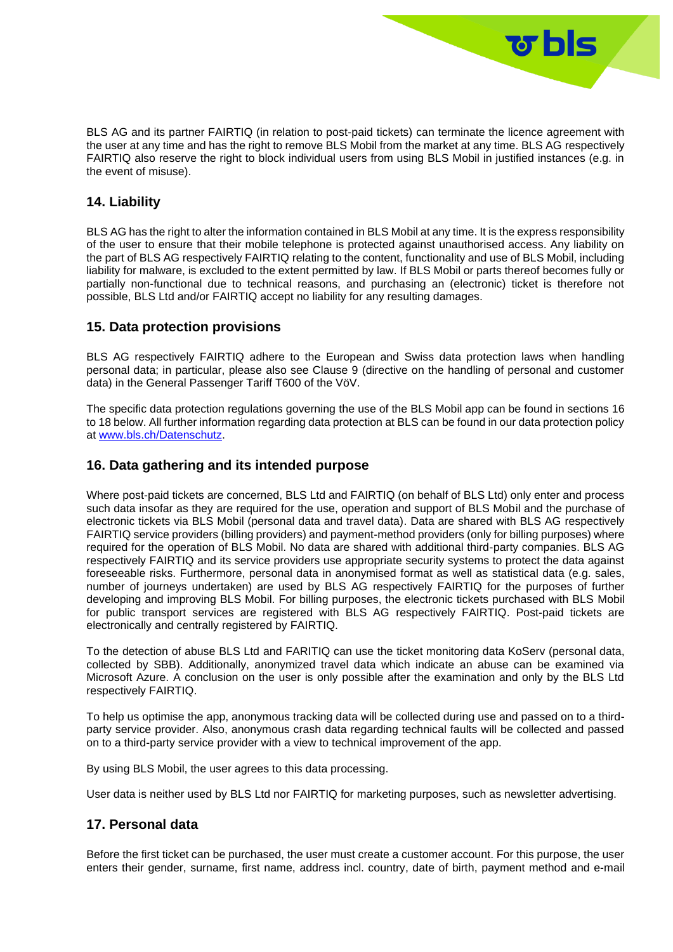BLS AG and its partner FAIRTIQ (in relation to post-paid tickets) can terminate the licence agreement with the user at any time and has the right to remove BLS Mobil from the market at any time. BLS AG respectively FAIRTIQ also reserve the right to block individual users from using BLS Mobil in justified instances (e.g. in the event of misuse).

<u> छ bls</u>

# **14. Liability**

BLS AG has the right to alter the information contained in BLS Mobil at any time. It is the express responsibility of the user to ensure that their mobile telephone is protected against unauthorised access. Any liability on the part of BLS AG respectively FAIRTIQ relating to the content, functionality and use of BLS Mobil, including liability for malware, is excluded to the extent permitted by law. If BLS Mobil or parts thereof becomes fully or partially non-functional due to technical reasons, and purchasing an (electronic) ticket is therefore not possible, BLS Ltd and/or FAIRTIQ accept no liability for any resulting damages.

### **15. Data protection provisions**

BLS AG respectively FAIRTIQ adhere to the European and Swiss data protection laws when handling personal data; in particular, please also see Clause 9 (directive on the handling of personal and customer data) in the General Passenger Tariff T600 of the VöV.

The specific data protection regulations governing the use of the BLS Mobil app can be found in sections 16 to 18 below. All further information regarding data protection at BLS can be found in our data protection policy at [www.bls.ch/Datenschutz.](https://www.bls.ch/en/pages/nutzungs-und-datenschutzbestimmungen)

# **16. Data gathering and its intended purpose**

Where post-paid tickets are concerned, BLS Ltd and FAIRTIQ (on behalf of BLS Ltd) only enter and process such data insofar as they are required for the use, operation and support of BLS Mobil and the purchase of electronic tickets via BLS Mobil (personal data and travel data). Data are shared with BLS AG respectively FAIRTIQ service providers (billing providers) and payment-method providers (only for billing purposes) where required for the operation of BLS Mobil. No data are shared with additional third-party companies. BLS AG respectively FAIRTIQ and its service providers use appropriate security systems to protect the data against foreseeable risks. Furthermore, personal data in anonymised format as well as statistical data (e.g. sales, number of journeys undertaken) are used by BLS AG respectively FAIRTIQ for the purposes of further developing and improving BLS Mobil. For billing purposes, the electronic tickets purchased with BLS Mobil for public transport services are registered with BLS AG respectively FAIRTIQ. Post-paid tickets are electronically and centrally registered by FAIRTIQ.

To the detection of abuse BLS Ltd and FARITIQ can use the ticket monitoring data KoServ (personal data, collected by SBB). Additionally, anonymized travel data which indicate an abuse can be examined via Microsoft Azure. A conclusion on the user is only possible after the examination and only by the BLS Ltd respectively FAIRTIQ.

To help us optimise the app, anonymous tracking data will be collected during use and passed on to a thirdparty service provider. Also, anonymous crash data regarding technical faults will be collected and passed on to a third-party service provider with a view to technical improvement of the app.

By using BLS Mobil, the user agrees to this data processing.

User data is neither used by BLS Ltd nor FAIRTIQ for marketing purposes, such as newsletter advertising.

# **17. Personal data**

Before the first ticket can be purchased, the user must create a customer account. For this purpose, the user enters their gender, surname, first name, address incl. country, date of birth, payment method and e-mail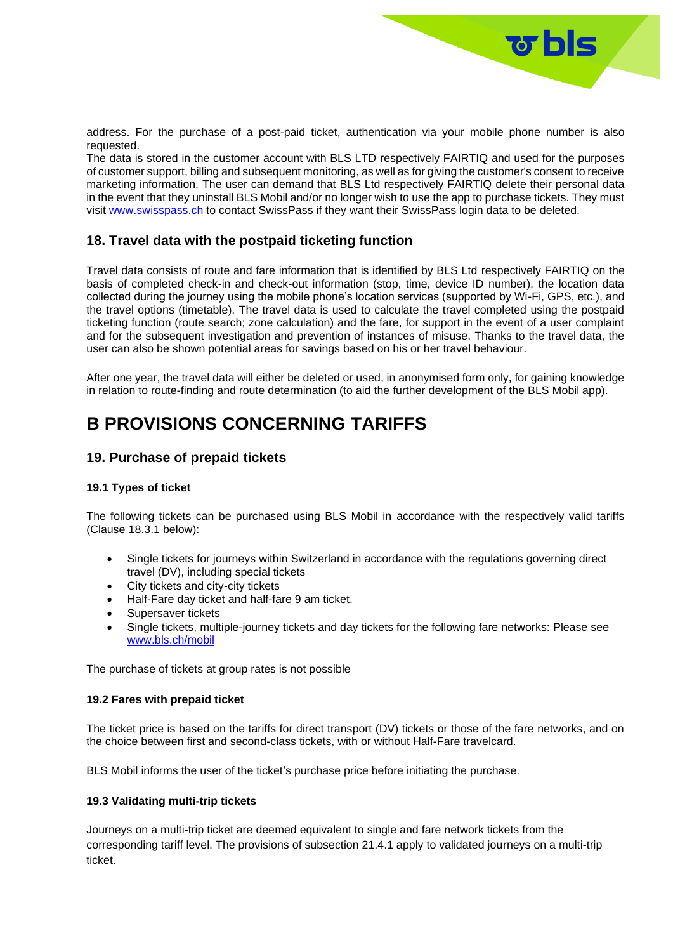

address. For the purchase of a post-paid ticket, authentication via your mobile phone number is also requested.

The data is stored in the customer account with BLS LTD respectively FAIRTIQ and used for the purposes of customer support, billing and subsequent monitoring, as well as for giving the customer's consent to receive marketing information. The user can demand that BLS Ltd respectively FAIRTIQ delete their personal data in the event that they uninstall BLS Mobil and/or no longer wish to use the app to purchase tickets. They must visit [www.swisspass.ch](https://www.swisspass.ch/oevlogin/login) to contact SwissPass if they want their SwissPass login data to be deleted.

# **18. Travel data with the postpaid ticketing function**

Travel data consists of route and fare information that is identified by BLS Ltd respectively FAIRTIQ on the basis of completed check-in and check-out information (stop, time, device ID number), the location data collected during the journey using the mobile phone's location services (supported by Wi-Fi, GPS, etc.), and the travel options (timetable). The travel data is used to calculate the travel completed using the postpaid ticketing function (route search; zone calculation) and the fare, for support in the event of a user complaint and for the subsequent investigation and prevention of instances of misuse. Thanks to the travel data, the user can also be shown potential areas for savings based on his or her travel behaviour.

After one year, the travel data will either be deleted or used, in anonymised form only, for gaining knowledge in relation to route-finding and route determination (to aid the further development of the BLS Mobil app).

# **B PROVISIONS CONCERNING TARIFFS**

### **19. Purchase of prepaid tickets**

#### **19.1 Types of ticket**

The following tickets can be purchased using BLS Mobil in accordance with the respectively valid tariffs (Clause 18.3.1 below):

- Single tickets for journeys within Switzerland in accordance with the regulations governing direct travel (DV), including special tickets
- City tickets and city-city tickets
- Half-Fare day ticket and half-fare 9 am ticket.
- Supersaver tickets
- Single tickets, multiple-journey tickets and day tickets for the following fare networks: Please see [www.bls.ch/mobil](https://www.bls.ch/en/fahren/fahrausweise/verkauf/online-mobile/bls-mobil)

The purchase of tickets at group rates is not possible

#### **19.2 Fares with prepaid ticket**

The ticket price is based on the tariffs for direct transport (DV) tickets or those of the fare networks, and on the choice between first and second-class tickets, with or without Half-Fare travelcard.

BLS Mobil informs the user of the ticket's purchase price before initiating the purchase.

#### **19.3 Validating multi-trip tickets**

Journeys on a multi-trip ticket are deemed equivalent to single and fare network tickets from the corresponding tariff level. The provisions of subsection 21.4.1 apply to validated journeys on a multi-trip ticket.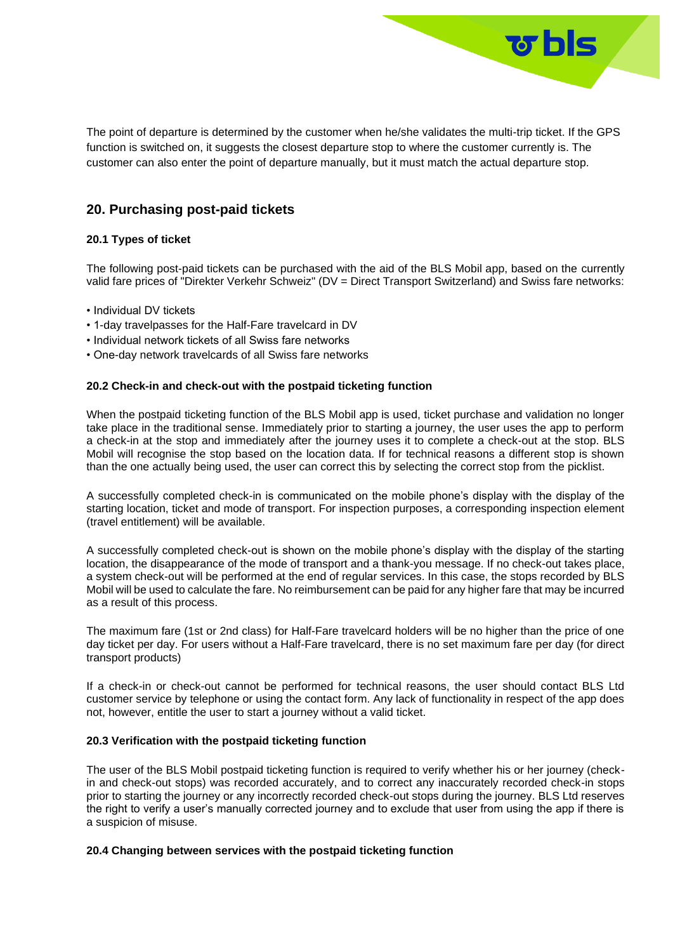

The point of departure is determined by the customer when he/she validates the multi-trip ticket. If the GPS function is switched on, it suggests the closest departure stop to where the customer currently is. The customer can also enter the point of departure manually, but it must match the actual departure stop.

# **20. Purchasing post-paid tickets**

### **20.1 Types of ticket**

The following post-paid tickets can be purchased with the aid of the BLS Mobil app, based on the currently valid fare prices of "Direkter Verkehr Schweiz" (DV = Direct Transport Switzerland) and Swiss fare networks:

- Individual DV tickets
- 1-day travelpasses for the Half-Fare travelcard in DV
- Individual network tickets of all Swiss fare networks
- One-day network travelcards of all Swiss fare networks

### **20.2 Check-in and check-out with the postpaid ticketing function**

When the postpaid ticketing function of the BLS Mobil app is used, ticket purchase and validation no longer take place in the traditional sense. Immediately prior to starting a journey, the user uses the app to perform a check-in at the stop and immediately after the journey uses it to complete a check-out at the stop. BLS Mobil will recognise the stop based on the location data. If for technical reasons a different stop is shown than the one actually being used, the user can correct this by selecting the correct stop from the picklist.

A successfully completed check-in is communicated on the mobile phone's display with the display of the starting location, ticket and mode of transport. For inspection purposes, a corresponding inspection element (travel entitlement) will be available.

A successfully completed check-out is shown on the mobile phone's display with the display of the starting location, the disappearance of the mode of transport and a thank-you message. If no check-out takes place, a system check-out will be performed at the end of regular services. In this case, the stops recorded by BLS Mobil will be used to calculate the fare. No reimbursement can be paid for any higher fare that may be incurred as a result of this process.

The maximum fare (1st or 2nd class) for Half-Fare travelcard holders will be no higher than the price of one day ticket per day. For users without a Half-Fare travelcard, there is no set maximum fare per day (for direct transport products)

If a check-in or check-out cannot be performed for technical reasons, the user should contact BLS Ltd customer service by telephone or using the contact form. Any lack of functionality in respect of the app does not, however, entitle the user to start a journey without a valid ticket.

#### **20.3 Verification with the postpaid ticketing function**

The user of the BLS Mobil postpaid ticketing function is required to verify whether his or her journey (checkin and check-out stops) was recorded accurately, and to correct any inaccurately recorded check-in stops prior to starting the journey or any incorrectly recorded check-out stops during the journey. BLS Ltd reserves the right to verify a user's manually corrected journey and to exclude that user from using the app if there is a suspicion of misuse.

#### **20.4 Changing between services with the postpaid ticketing function**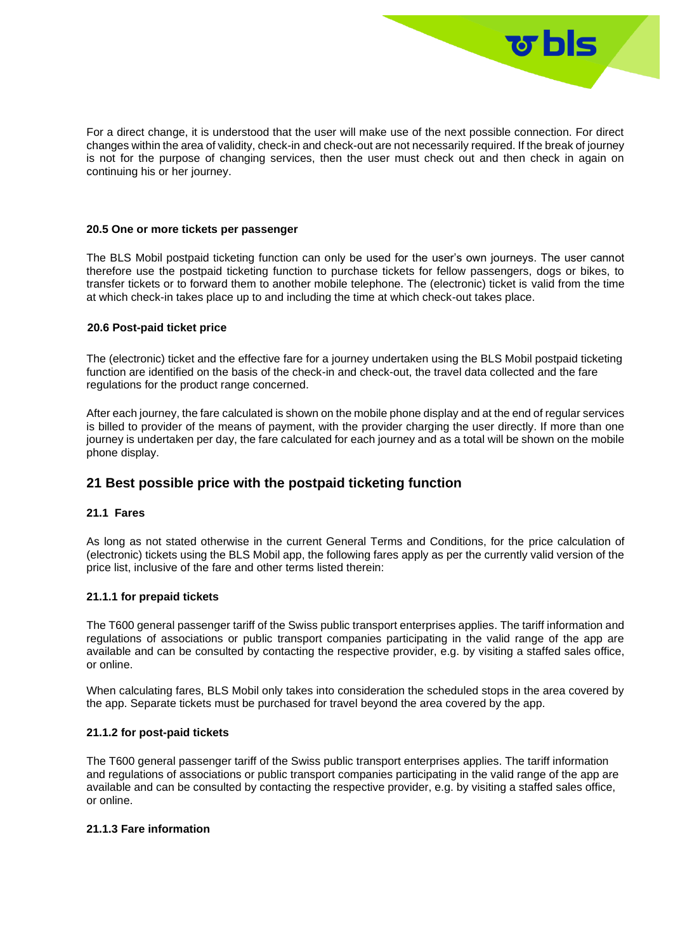

For a direct change, it is understood that the user will make use of the next possible connection. For direct changes within the area of validity, check-in and check-out are not necessarily required. If the break of journey is not for the purpose of changing services, then the user must check out and then check in again on continuing his or her journey.

#### **20.5 One or more tickets per passenger**

The BLS Mobil postpaid ticketing function can only be used for the user's own journeys. The user cannot therefore use the postpaid ticketing function to purchase tickets for fellow passengers, dogs or bikes, to transfer tickets or to forward them to another mobile telephone. The (electronic) ticket is valid from the time at which check-in takes place up to and including the time at which check-out takes place.

#### **20.6 Post-paid ticket price**

The (electronic) ticket and the effective fare for a journey undertaken using the BLS Mobil postpaid ticketing function are identified on the basis of the check-in and check-out, the travel data collected and the fare regulations for the product range concerned.

After each journey, the fare calculated is shown on the mobile phone display and at the end of regular services is billed to provider of the means of payment, with the provider charging the user directly. If more than one journey is undertaken per day, the fare calculated for each journey and as a total will be shown on the mobile phone display.

### **21 Best possible price with the postpaid ticketing function**

#### **21.1 Fares**

As long as not stated otherwise in the current General Terms and Conditions, for the price calculation of (electronic) tickets using the BLS Mobil app, the following fares apply as per the currently valid version of the price list, inclusive of the fare and other terms listed therein:

#### **21.1.1 for prepaid tickets**

The T600 general passenger tariff of the Swiss public transport enterprises applies. The tariff information and regulations of associations or public transport companies participating in the valid range of the app are available and can be consulted by contacting the respective provider, e.g. by visiting a staffed sales office, or online.

When calculating fares, BLS Mobil only takes into consideration the scheduled stops in the area covered by the app. Separate tickets must be purchased for travel beyond the area covered by the app.

#### **21.1.2 for post-paid tickets**

The T600 general passenger tariff of the Swiss public transport enterprises applies. The tariff information and regulations of associations or public transport companies participating in the valid range of the app are available and can be consulted by contacting the respective provider, e.g. by visiting a staffed sales office, or online.

#### **21.1.3 Fare information**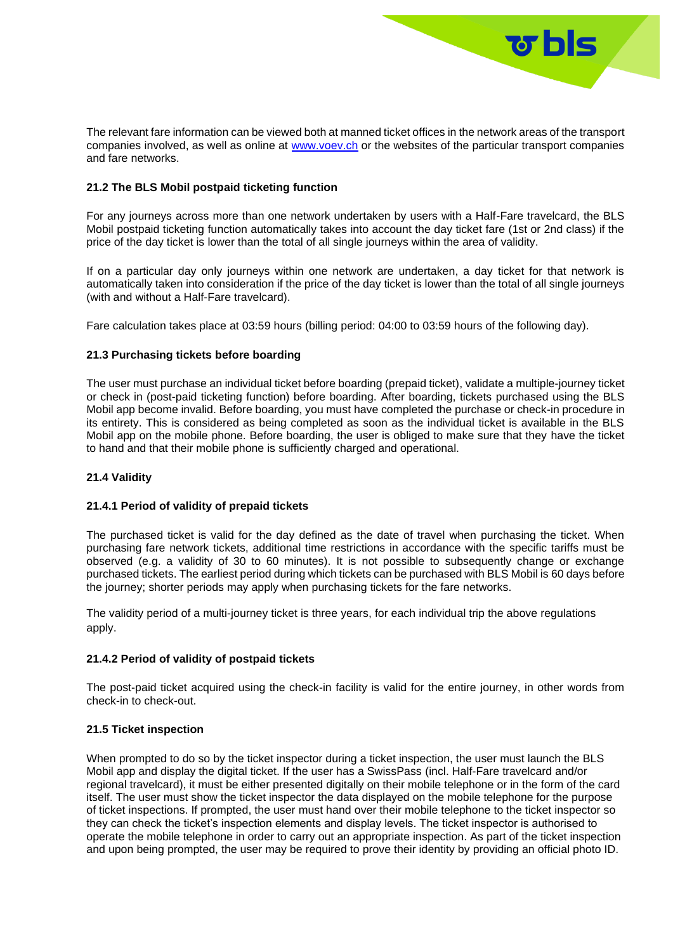The relevant fare information can be viewed both at manned ticket offices in the network areas of the transport companies involved, as well as online at [www.voev.ch](https://www.voev.ch/de/Service/Tarife-DV/Aktuelle-DV-Tarife) or the websites of the particular transport companies and fare networks.

ष bls ।

### **21.2 The BLS Mobil postpaid ticketing function**

For any journeys across more than one network undertaken by users with a Half-Fare travelcard, the BLS Mobil postpaid ticketing function automatically takes into account the day ticket fare (1st or 2nd class) if the price of the day ticket is lower than the total of all single journeys within the area of validity.

If on a particular day only journeys within one network are undertaken, a day ticket for that network is automatically taken into consideration if the price of the day ticket is lower than the total of all single journeys (with and without a Half-Fare travelcard).

Fare calculation takes place at 03:59 hours (billing period: 04:00 to 03:59 hours of the following day).

#### **21.3 Purchasing tickets before boarding**

The user must purchase an individual ticket before boarding (prepaid ticket), validate a multiple-journey ticket or check in (post-paid ticketing function) before boarding. After boarding, tickets purchased using the BLS Mobil app become invalid. Before boarding, you must have completed the purchase or check-in procedure in its entirety. This is considered as being completed as soon as the individual ticket is available in the BLS Mobil app on the mobile phone. Before boarding, the user is obliged to make sure that they have the ticket to hand and that their mobile phone is sufficiently charged and operational.

#### **21.4 Validity**

#### **21.4.1 Period of validity of prepaid tickets**

The purchased ticket is valid for the day defined as the date of travel when purchasing the ticket. When purchasing fare network tickets, additional time restrictions in accordance with the specific tariffs must be observed (e.g. a validity of 30 to 60 minutes). It is not possible to subsequently change or exchange purchased tickets. The earliest period during which tickets can be purchased with BLS Mobil is 60 days before the journey; shorter periods may apply when purchasing tickets for the fare networks.

The validity period of a multi-journey ticket is three years, for each individual trip the above regulations apply.

#### **21.4.2 Period of validity of postpaid tickets**

The post-paid ticket acquired using the check-in facility is valid for the entire journey, in other words from check-in to check-out.

#### **21.5 Ticket inspection**

When prompted to do so by the ticket inspector during a ticket inspection, the user must launch the BLS Mobil app and display the digital ticket. If the user has a SwissPass (incl. Half-Fare travelcard and/or regional travelcard), it must be either presented digitally on their mobile telephone or in the form of the card itself. The user must show the ticket inspector the data displayed on the mobile telephone for the purpose of ticket inspections. If prompted, the user must hand over their mobile telephone to the ticket inspector so they can check the ticket's inspection elements and display levels. The ticket inspector is authorised to operate the mobile telephone in order to carry out an appropriate inspection. As part of the ticket inspection and upon being prompted, the user may be required to prove their identity by providing an official photo ID.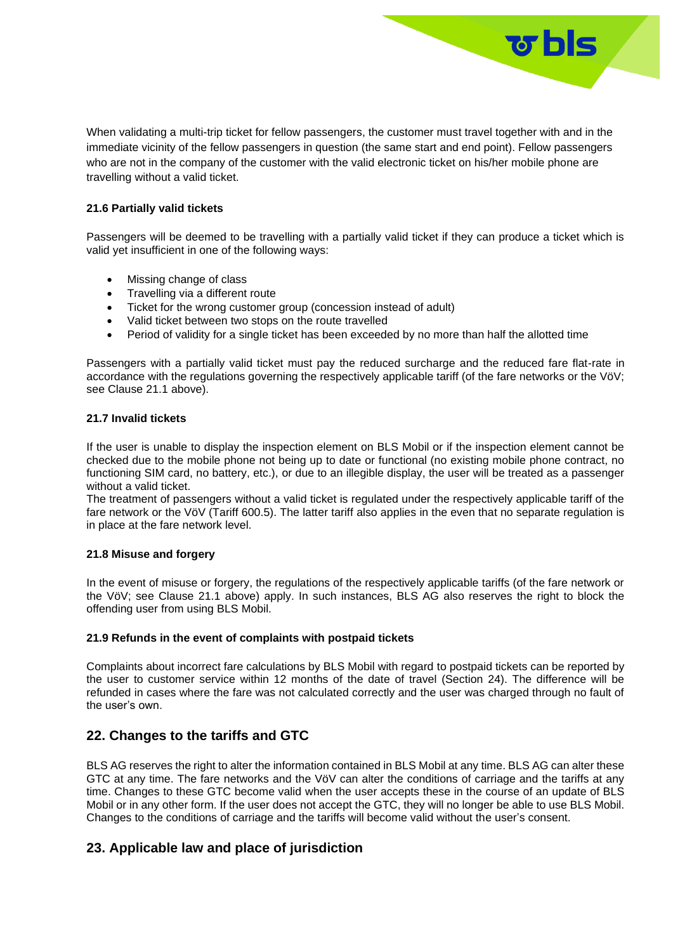When validating a multi-trip ticket for fellow passengers, the customer must travel together with and in the immediate vicinity of the fellow passengers in question (the same start and end point). Fellow passengers who are not in the company of the customer with the valid electronic ticket on his/her mobile phone are travelling without a valid ticket.

<u>उ bls </u>

### **21.6 Partially valid tickets**

Passengers will be deemed to be travelling with a partially valid ticket if they can produce a ticket which is valid yet insufficient in one of the following ways:

- Missing change of class
- Travelling via a different route
- Ticket for the wrong customer group (concession instead of adult)
- Valid ticket between two stops on the route travelled
- Period of validity for a single ticket has been exceeded by no more than half the allotted time

Passengers with a partially valid ticket must pay the reduced surcharge and the reduced fare flat-rate in accordance with the regulations governing the respectively applicable tariff (of the fare networks or the VöV; see Clause 21.1 above).

#### **21.7 Invalid tickets**

If the user is unable to display the inspection element on BLS Mobil or if the inspection element cannot be checked due to the mobile phone not being up to date or functional (no existing mobile phone contract, no functioning SIM card, no battery, etc.), or due to an illegible display, the user will be treated as a passenger without a valid ticket.

The treatment of passengers without a valid ticket is regulated under the respectively applicable tariff of the fare network or the VöV (Tariff 600.5). The latter tariff also applies in the even that no separate regulation is in place at the fare network level.

#### **21.8 Misuse and forgery**

In the event of misuse or forgery, the regulations of the respectively applicable tariffs (of the fare network or the VöV; see Clause 21.1 above) apply. In such instances, BLS AG also reserves the right to block the offending user from using BLS Mobil.

#### **21.9 Refunds in the event of complaints with postpaid tickets**

Complaints about incorrect fare calculations by BLS Mobil with regard to postpaid tickets can be reported by the user to customer service within 12 months of the date of travel (Section 24). The difference will be refunded in cases where the fare was not calculated correctly and the user was charged through no fault of the user's own.

### **22. Changes to the tariffs and GTC**

BLS AG reserves the right to alter the information contained in BLS Mobil at any time. BLS AG can alter these GTC at any time. The fare networks and the VöV can alter the conditions of carriage and the tariffs at any time. Changes to these GTC become valid when the user accepts these in the course of an update of BLS Mobil or in any other form. If the user does not accept the GTC, they will no longer be able to use BLS Mobil. Changes to the conditions of carriage and the tariffs will become valid without the user's consent.

### **23. Applicable law and place of jurisdiction**